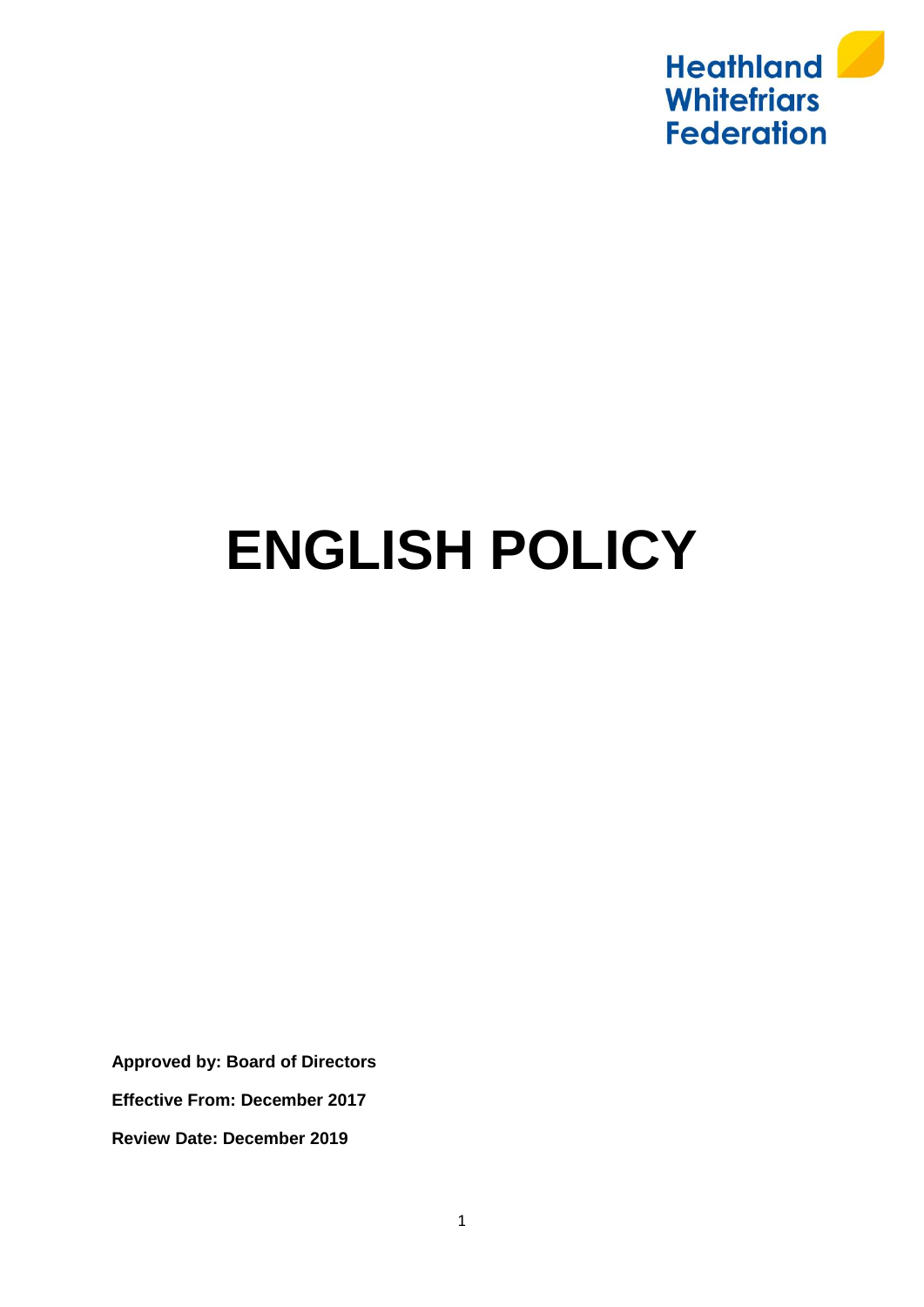

# **ENGLISH POLICY**

**Approved by: Board of Directors** 

**Effective From: December 2017**

**Review Date: December 2019**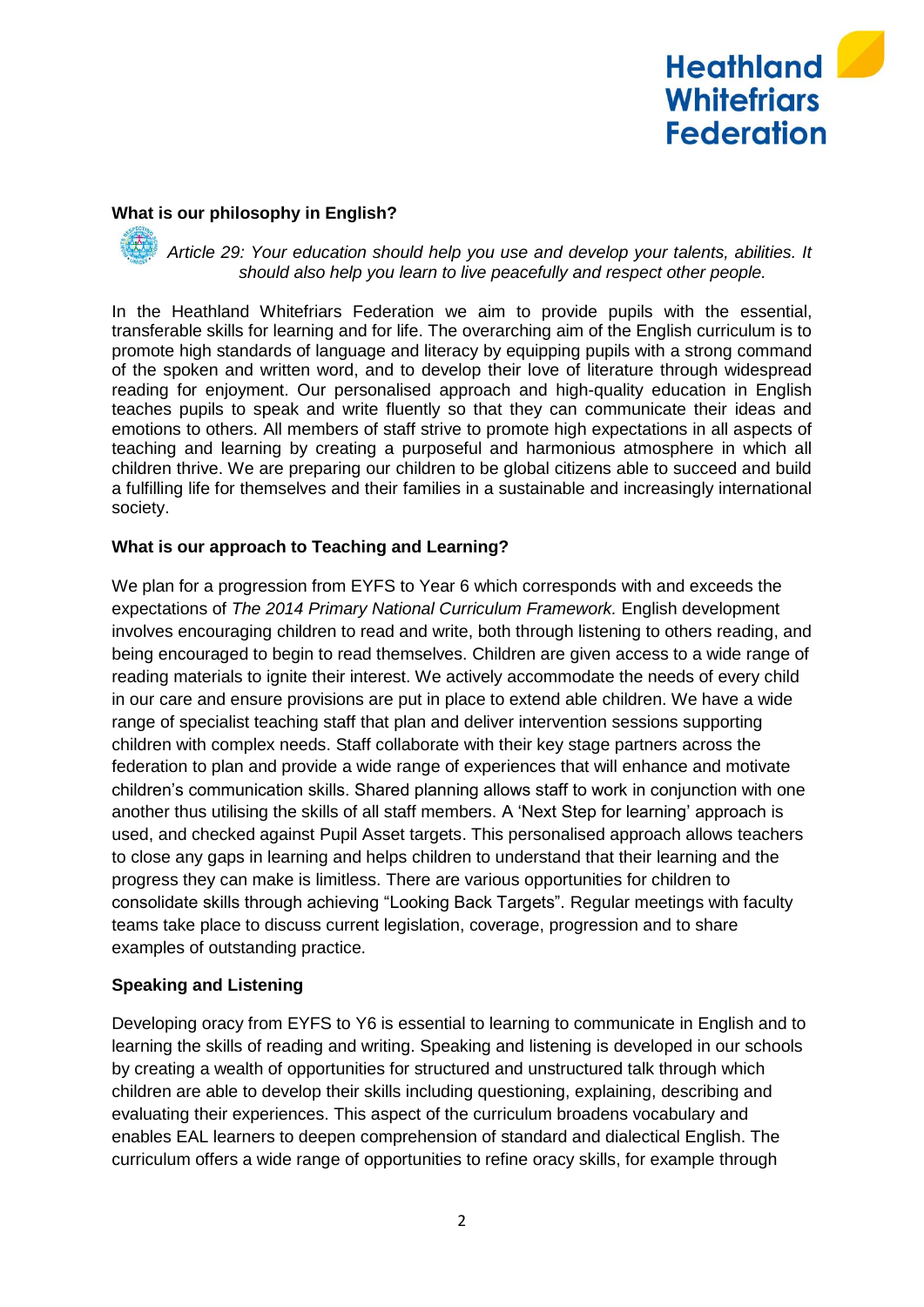

#### **What is our philosophy in English?**

*Article 29: Your education should help you use and develop your talents, abilities. It should also help you learn to live peacefully and respect other people.* 

In the Heathland Whitefriars Federation we aim to provide pupils with the essential, transferable skills for learning and for life. The overarching aim of the English curriculum is to promote high standards of language and literacy by equipping pupils with a strong command of the spoken and written word, and to develop their love of literature through widespread reading for enjoyment. Our personalised approach and high-quality education in English teaches pupils to speak and write fluently so that they can communicate their ideas and emotions to others. All members of staff strive to promote high expectations in all aspects of teaching and learning by creating a purposeful and harmonious atmosphere in which all children thrive. We are preparing our children to be global citizens able to succeed and build a fulfilling life for themselves and their families in a sustainable and increasingly international society.

#### **What is our approach to Teaching and Learning?**

We plan for a progression from EYFS to Year 6 which corresponds with and exceeds the expectations of *The 2014 Primary National Curriculum Framework.* English development involves encouraging children to read and write, both through listening to others reading, and being encouraged to begin to read themselves. Children are given access to a wide range of reading materials to ignite their interest. We actively accommodate the needs of every child in our care and ensure provisions are put in place to extend able children. We have a wide range of specialist teaching staff that plan and deliver intervention sessions supporting children with complex needs. Staff collaborate with their key stage partners across the federation to plan and provide a wide range of experiences that will enhance and motivate children's communication skills. Shared planning allows staff to work in conjunction with one another thus utilising the skills of all staff members. A 'Next Step for learning' approach is used, and checked against Pupil Asset targets. This personalised approach allows teachers to close any gaps in learning and helps children to understand that their learning and the progress they can make is limitless. There are various opportunities for children to consolidate skills through achieving "Looking Back Targets". Regular meetings with faculty teams take place to discuss current legislation, coverage, progression and to share examples of outstanding practice.

## **Speaking and Listening**

Developing oracy from EYFS to Y6 is essential to learning to communicate in English and to learning the skills of reading and writing. Speaking and listening is developed in our schools by creating a wealth of opportunities for structured and unstructured talk through which children are able to develop their skills including questioning, explaining, describing and evaluating their experiences. This aspect of the curriculum broadens vocabulary and enables EAL learners to deepen comprehension of standard and dialectical English. The curriculum offers a wide range of opportunities to refine oracy skills, for example through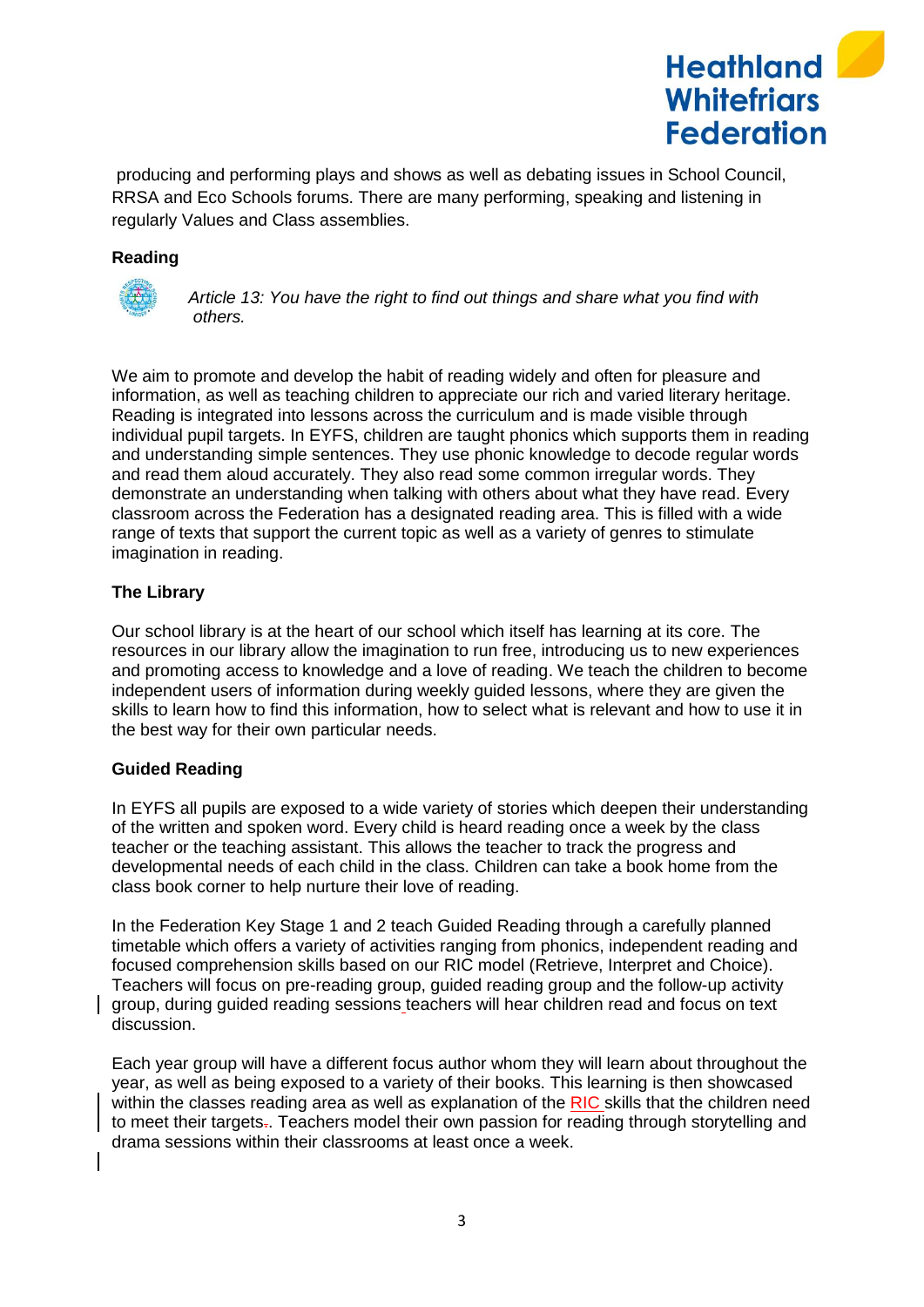

producing and performing plays and shows as well as debating issues in School Council, RRSA and Eco Schools forums. There are many performing, speaking and listening in regularly Values and Class assemblies.

## **Reading**



*Article 13: You have the right to find out things and share what you find with others.*

We aim to promote and develop the habit of reading widely and often for pleasure and information, as well as teaching children to appreciate our rich and varied literary heritage. Reading is integrated into lessons across the curriculum and is made visible through individual pupil targets. In EYFS, children are taught phonics which supports them in reading and understanding simple sentences. They use phonic knowledge to decode regular words and read them aloud accurately. They also read some common irregular words. They demonstrate an understanding when talking with others about what they have read. Every classroom across the Federation has a designated reading area. This is filled with a wide range of texts that support the current topic as well as a variety of genres to stimulate imagination in reading.

## **The Library**

Our school library is at the heart of our school which itself has learning at its core. The resources in our library allow the imagination to run free, introducing us to new experiences and promoting access to knowledge and a love of reading. We teach the children to become independent users of information during weekly guided lessons, where they are given the skills to learn how to find this information, how to select what is relevant and how to use it in the best way for their own particular needs.

## **Guided Reading**

In EYFS all pupils are exposed to a wide variety of stories which deepen their understanding of the written and spoken word. Every child is heard reading once a week by the class teacher or the teaching assistant. This allows the teacher to track the progress and developmental needs of each child in the class. Children can take a book home from the class book corner to help nurture their love of reading.

In the Federation Key Stage 1 and 2 teach Guided Reading through a carefully planned timetable which offers a variety of activities ranging from phonics, independent reading and focused comprehension skills based on our RIC model (Retrieve, Interpret and Choice). Teachers will focus on pre-reading group, guided reading group and the follow-up activity group, during guided reading sessions teachers will hear children read and focus on text discussion.

Each year group will have a different focus author whom they will learn about throughout the year, as well as being exposed to a variety of their books. This learning is then showcased within the classes reading area as well as explanation of the RIC skills that the children need to meet their targets.. Teachers model their own passion for reading through storytelling and drama sessions within their classrooms at least once a week.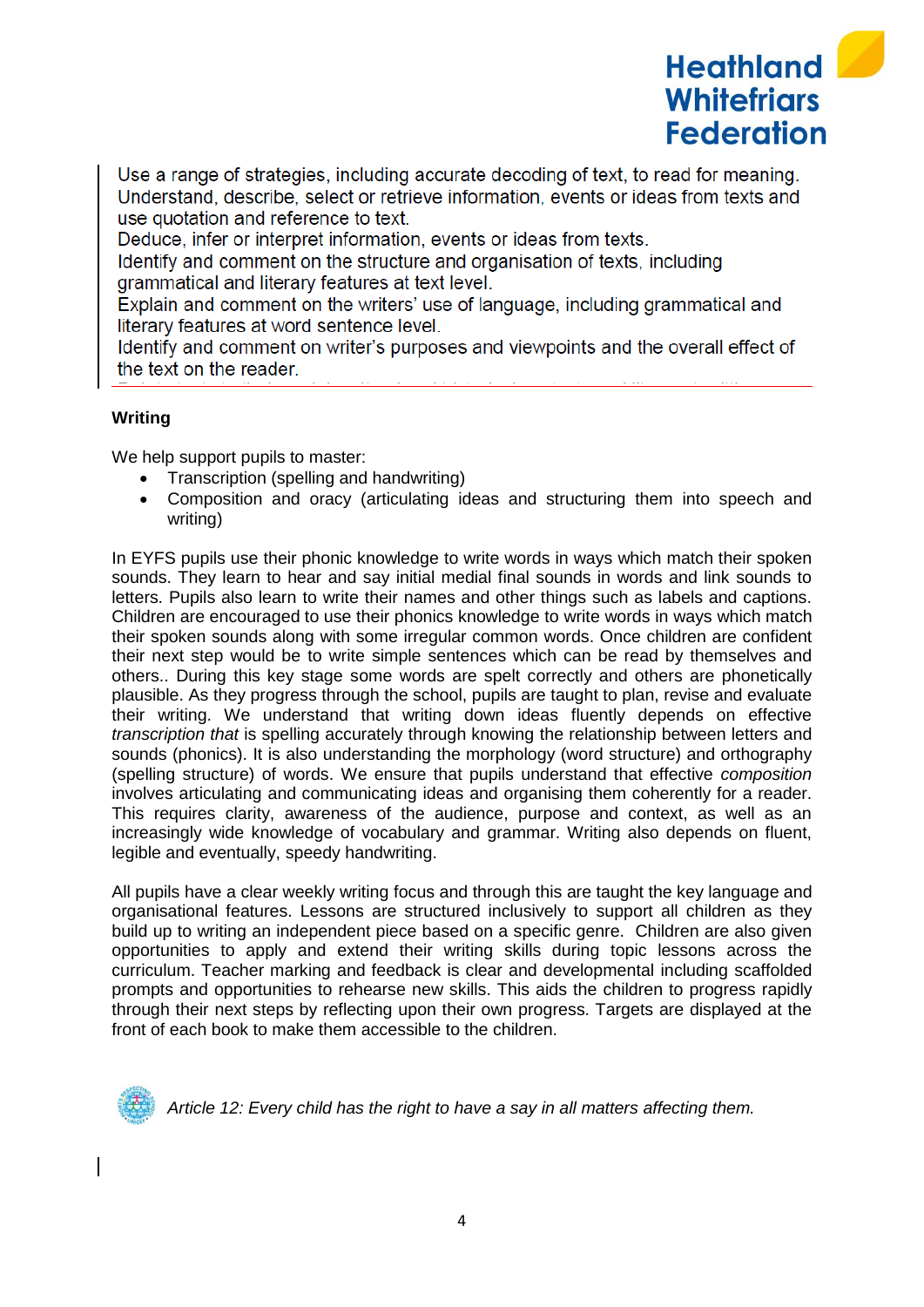

Use a range of strategies, including accurate decoding of text, to read for meaning. Understand, describe, select or retrieve information, events or ideas from texts and use quotation and reference to text.

Deduce, infer or interpret information, events or ideas from texts.

Identify and comment on the structure and organisation of texts, including grammatical and literary features at text level.

Explain and comment on the writers' use of language, including grammatical and literary features at word sentence level.

Identify and comment on writer's purposes and viewpoints and the overall effect of the text on the reader

## **Writing**

We help support pupils to master:

- Transcription (spelling and handwriting)
- Composition and oracy (articulating ideas and structuring them into speech and writing)

In EYFS pupils use their phonic knowledge to write words in ways which match their spoken sounds. They learn to hear and say initial medial final sounds in words and link sounds to letters. Pupils also learn to write their names and other things such as labels and captions. Children are encouraged to use their phonics knowledge to write words in ways which match their spoken sounds along with some irregular common words. Once children are confident their next step would be to write simple sentences which can be read by themselves and others.. During this key stage some words are spelt correctly and others are phonetically plausible. As they progress through the school, pupils are taught to plan, revise and evaluate their writing. We understand that writing down ideas fluently depends on effective *transcription that* is spelling accurately through knowing the relationship between letters and sounds (phonics). It is also understanding the morphology (word structure) and orthography (spelling structure) of words. We ensure that pupils understand that effective *composition* involves articulating and communicating ideas and organising them coherently for a reader. This requires clarity, awareness of the audience, purpose and context, as well as an increasingly wide knowledge of vocabulary and grammar. Writing also depends on fluent, legible and eventually, speedy handwriting.

All pupils have a clear weekly writing focus and through this are taught the key language and organisational features. Lessons are structured inclusively to support all children as they build up to writing an independent piece based on a specific genre. Children are also given opportunities to apply and extend their writing skills during topic lessons across the curriculum. Teacher marking and feedback is clear and developmental including scaffolded prompts and opportunities to rehearse new skills. This aids the children to progress rapidly through their next steps by reflecting upon their own progress. Targets are displayed at the front of each book to make them accessible to the children.



*Article 12: Every child has the right to have a say in all matters affecting them.*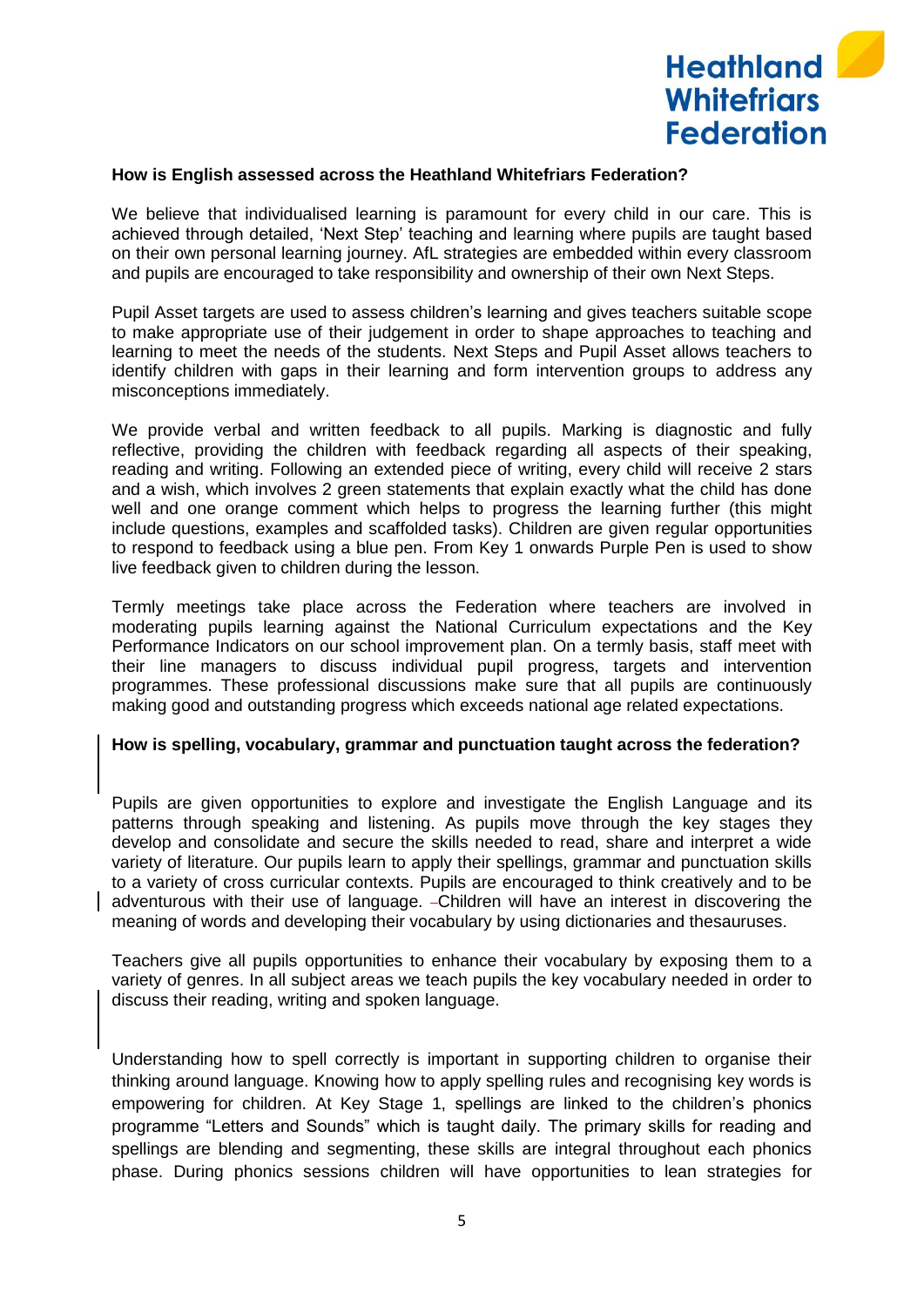

#### **How is English assessed across the Heathland Whitefriars Federation?**

We believe that individualised learning is paramount for every child in our care. This is achieved through detailed, 'Next Step' teaching and learning where pupils are taught based on their own personal learning journey. AfL strategies are embedded within every classroom and pupils are encouraged to take responsibility and ownership of their own Next Steps.

Pupil Asset targets are used to assess children's learning and gives teachers suitable scope to make appropriate use of their judgement in order to shape approaches to teaching and learning to meet the needs of the students. Next Steps and Pupil Asset allows teachers to identify children with gaps in their learning and form intervention groups to address any misconceptions immediately.

We provide verbal and written feedback to all pupils. Marking is diagnostic and fully reflective, providing the children with feedback regarding all aspects of their speaking, reading and writing. Following an extended piece of writing, every child will receive 2 stars and a wish, which involves 2 green statements that explain exactly what the child has done well and one orange comment which helps to progress the learning further (this might include questions, examples and scaffolded tasks). Children are given regular opportunities to respond to feedback using a blue pen. From Key 1 onwards Purple Pen is used to show live feedback given to children during the lesson.

Termly meetings take place across the Federation where teachers are involved in moderating pupils learning against the National Curriculum expectations and the Key Performance Indicators on our school improvement plan. On a termly basis, staff meet with their line managers to discuss individual pupil progress, targets and intervention programmes. These professional discussions make sure that all pupils are continuously making good and outstanding progress which exceeds national age related expectations.

#### **How is spelling, vocabulary, grammar and punctuation taught across the federation?**

Pupils are given opportunities to explore and investigate the English Language and its patterns through speaking and listening. As pupils move through the key stages they develop and consolidate and secure the skills needed to read, share and interpret a wide variety of literature. Our pupils learn to apply their spellings, grammar and punctuation skills to a variety of cross curricular contexts. Pupils are encouraged to think creatively and to be adventurous with their use of language. - Children will have an interest in discovering the meaning of words and developing their vocabulary by using dictionaries and thesauruses.

Teachers give all pupils opportunities to enhance their vocabulary by exposing them to a variety of genres. In all subject areas we teach pupils the key vocabulary needed in order to discuss their reading, writing and spoken language.

Understanding how to spell correctly is important in supporting children to organise their thinking around language. Knowing how to apply spelling rules and recognising key words is empowering for children. At Key Stage 1, spellings are linked to the children's phonics programme "Letters and Sounds" which is taught daily. The primary skills for reading and spellings are blending and segmenting, these skills are integral throughout each phonics phase. During phonics sessions children will have opportunities to lean strategies for